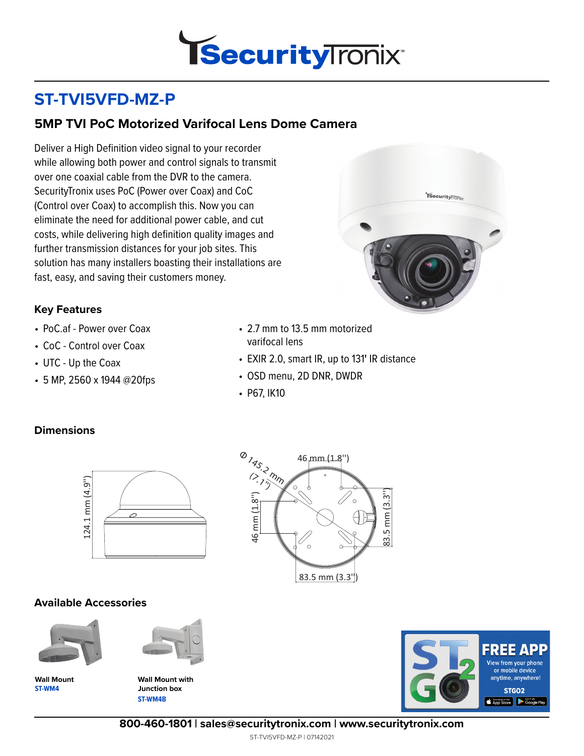

# **ST-TVI5VFD-MZ-P**

## **5MP TVI PoC Motorized Varifocal Lens Dome Camera**

Deliver a High Definition video signal to your recorder while allowing both power and control signals to transmit over one coaxial cable from the DVR to the camera. SecurityTronix uses PoC (Power over Coax) and CoC (Control over Coax) to accomplish this. Now you can eliminate the need for additional power cable, and cut costs, while delivering high definition quality images and further transmission distances for your job sites. This solution has many installers boasting their installations are fast, easy, and saving their customers money.



### **Key Features**

- PoC.af Power over Coax
- CoC Control over Coax
- UTC Up the Coax
- 5 MP, 2560 x 1944 @20fps
- 2.7 mm to 13.5 mm motorized varifocal lens
- EXIR 2.0, smart IR, up to 131**'** IR distance
- OSD menu, 2D DNR, DWDR
- P67, IK10

#### **Dimensions**



#### **Available Accessories**



**ST-WM4 Wall Mount**



**ST-WM4B Wall Mount with Junction box**





**800-460-1801 | sales@securitytronix.com | www.securitytronix.com**

ST-TVI5VFD-MZ-P | 07142021